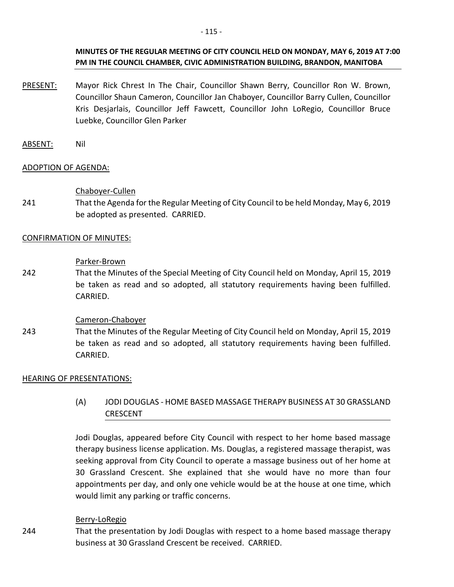- PRESENT: Mayor Rick Chrest In The Chair, Councillor Shawn Berry, Councillor Ron W. Brown, Councillor Shaun Cameron, Councillor Jan Chaboyer, Councillor Barry Cullen, Councillor Kris Desjarlais, Councillor Jeff Fawcett, Councillor John LoRegio, Councillor Bruce Luebke, Councillor Glen Parker
- ABSENT: Nil

## ADOPTION OF AGENDA:

## Chaboyer-Cullen

241 That the Agenda for the Regular Meeting of City Council to be held Monday, May 6, 2019 be adopted as presented. CARRIED.

## CONFIRMATION OF MINUTES:

#### Parker-Brown

242 That the Minutes of the Special Meeting of City Council held on Monday, April 15, 2019 be taken as read and so adopted, all statutory requirements having been fulfilled. CARRIED.

## Cameron-Chaboyer

243 That the Minutes of the Regular Meeting of City Council held on Monday, April 15, 2019 be taken as read and so adopted, all statutory requirements having been fulfilled. CARRIED.

## HEARING OF PRESENTATIONS:

(A) JODI DOUGLAS - HOME BASED MASSAGE THERAPY BUSINESS AT 30 GRASSLAND CRESCENT

Jodi Douglas, appeared before City Council with respect to her home based massage therapy business license application. Ms. Douglas, a registered massage therapist, was seeking approval from City Council to operate a massage business out of her home at 30 Grassland Crescent. She explained that she would have no more than four appointments per day, and only one vehicle would be at the house at one time, which would limit any parking or traffic concerns.

## Berry-LoRegio

244 That the presentation by Jodi Douglas with respect to a home based massage therapy business at 30 Grassland Crescent be received. CARRIED.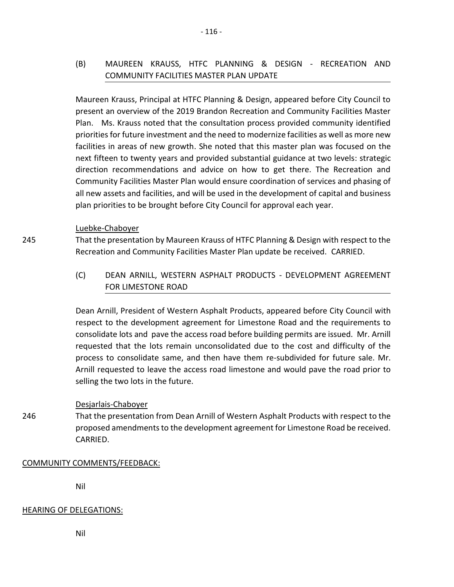Maureen Krauss, Principal at HTFC Planning & Design, appeared before City Council to present an overview of the 2019 Brandon Recreation and Community Facilities Master Plan. Ms. Krauss noted that the consultation process provided community identified priorities for future investment and the need to modernize facilities as well as more new facilities in areas of new growth. She noted that this master plan was focused on the next fifteen to twenty years and provided substantial guidance at two levels: strategic direction recommendations and advice on how to get there. The Recreation and Community Facilities Master Plan would ensure coordination of services and phasing of all new assets and facilities, and will be used in the development of capital and business plan priorities to be brought before City Council for approval each year.

## Luebke-Chaboyer

245

That the presentation by Maureen Krauss of HTFC Planning & Design with respect to the Recreation and Community Facilities Master Plan update be received. CARRIED.

(C) DEAN ARNILL, WESTERN ASPHALT PRODUCTS - DEVELOPMENT AGREEMENT FOR LIMESTONE ROAD

 Dean Arnill, President of Western Asphalt Products, appeared before City Council with respect to the development agreement for Limestone Road and the requirements to consolidate lots and pave the access road before building permits are issued. Mr. Arnill requested that the lots remain unconsolidated due to the cost and difficulty of the process to consolidate same, and then have them re-subdivided for future sale. Mr. Arnill requested to leave the access road limestone and would pave the road prior to selling the two lots in the future.

# Desjarlais-Chaboyer

246 That the presentation from Dean Arnill of Western Asphalt Products with respect to the proposed amendments to the development agreement for Limestone Road be received. CARRIED.

# COMMUNITY COMMENTS/FEEDBACK:

Nil

# HEARING OF DELEGATIONS:

Nil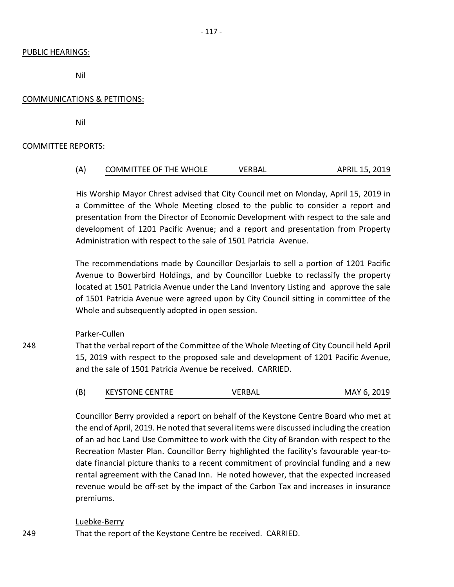#### PUBLIC HEARINGS:

Nil

## COMMUNICATIONS & PETITIONS:

Nil

## COMMITTEE REPORTS:

| (A) | <b>COMMITTEE OF THE WHOLE</b> | VERBAL | APRIL 15, 2019 |
|-----|-------------------------------|--------|----------------|
|     |                               |        |                |

 His Worship Mayor Chrest advised that City Council met on Monday, April 15, 2019 in a Committee of the Whole Meeting closed to the public to consider a report and presentation from the Director of Economic Development with respect to the sale and development of 1201 Pacific Avenue; and a report and presentation from Property Administration with respect to the sale of 1501 Patricia Avenue.

The recommendations made by Councillor Desjarlais to sell a portion of 1201 Pacific Avenue to Bowerbird Holdings, and by Councillor Luebke to reclassify the property located at 1501 Patricia Avenue under the Land Inventory Listing and approve the sale of 1501 Patricia Avenue were agreed upon by City Council sitting in committee of the Whole and subsequently adopted in open session.

## Parker-Cullen

That the verbal report of the Committee of the Whole Meeting of City Council held April 15, 2019 with respect to the proposed sale and development of 1201 Pacific Avenue, and the sale of 1501 Patricia Avenue be received. CARRIED.

|  | <b>KEYSTONE CENTRE</b> | VERBAL | MAY 6, 2019 |
|--|------------------------|--------|-------------|
|--|------------------------|--------|-------------|

Councillor Berry provided a report on behalf of the Keystone Centre Board who met at the end of April, 2019. He noted that several items were discussed including the creation of an ad hoc Land Use Committee to work with the City of Brandon with respect to the Recreation Master Plan. Councillor Berry highlighted the facility's favourable year-todate financial picture thanks to a recent commitment of provincial funding and a new rental agreement with the Canad Inn. He noted however, that the expected increased revenue would be off-set by the impact of the Carbon Tax and increases in insurance premiums.

## Luebke-Berry

That the report of the Keystone Centre be received. CARRIED.

248

249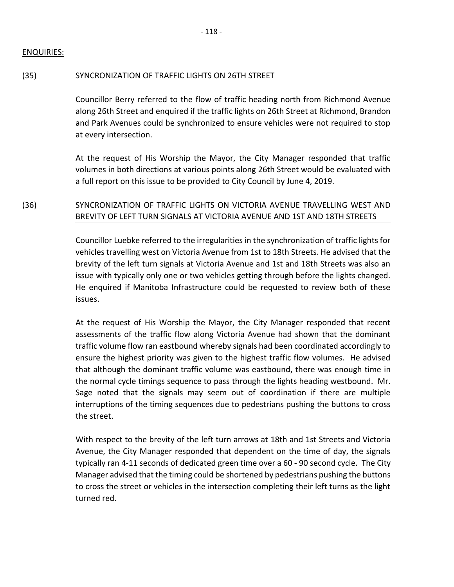## ENQUIRIES:

#### (35) SYNCRONIZATION OF TRAFFIC LIGHTS ON 26TH STREET

Councillor Berry referred to the flow of traffic heading north from Richmond Avenue along 26th Street and enquired if the traffic lights on 26th Street at Richmond, Brandon and Park Avenues could be synchronized to ensure vehicles were not required to stop at every intersection.

At the request of His Worship the Mayor, the City Manager responded that traffic volumes in both directions at various points along 26th Street would be evaluated with a full report on this issue to be provided to City Council by June 4, 2019.

# (36) SYNCRONIZATION OF TRAFFIC LIGHTS ON VICTORIA AVENUE TRAVELLING WEST AND BREVITY OF LEFT TURN SIGNALS AT VICTORIA AVENUE AND 1ST AND 18TH STREETS

Councillor Luebke referred to the irregularities in the synchronization of traffic lights for vehicles travelling west on Victoria Avenue from 1st to 18th Streets. He advised that the brevity of the left turn signals at Victoria Avenue and 1st and 18th Streets was also an issue with typically only one or two vehicles getting through before the lights changed. He enquired if Manitoba Infrastructure could be requested to review both of these issues.

At the request of His Worship the Mayor, the City Manager responded that recent assessments of the traffic flow along Victoria Avenue had shown that the dominant traffic volume flow ran eastbound whereby signals had been coordinated accordingly to ensure the highest priority was given to the highest traffic flow volumes. He advised that although the dominant traffic volume was eastbound, there was enough time in the normal cycle timings sequence to pass through the lights heading westbound. Mr. Sage noted that the signals may seem out of coordination if there are multiple interruptions of the timing sequences due to pedestrians pushing the buttons to cross the street.

With respect to the brevity of the left turn arrows at 18th and 1st Streets and Victoria Avenue, the City Manager responded that dependent on the time of day, the signals typically ran 4-11 seconds of dedicated green time over a 60 - 90 second cycle. The City Manager advised that the timing could be shortened by pedestrians pushing the buttons to cross the street or vehicles in the intersection completing their left turns as the light turned red.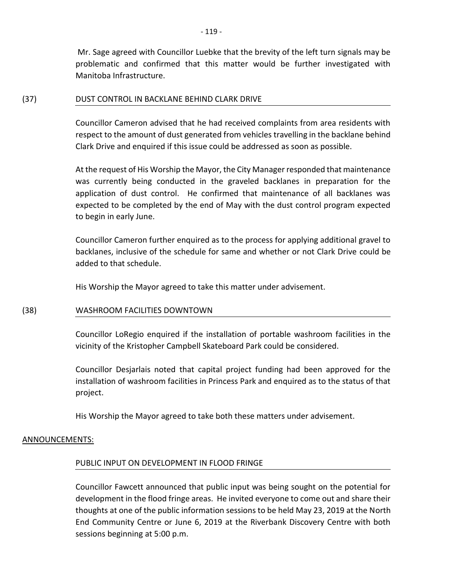Mr. Sage agreed with Councillor Luebke that the brevity of the left turn signals may be problematic and confirmed that this matter would be further investigated with Manitoba Infrastructure.

#### (37) DUST CONTROL IN BACKLANE BEHIND CLARK DRIVE

Councillor Cameron advised that he had received complaints from area residents with respect to the amount of dust generated from vehicles travelling in the backlane behind Clark Drive and enquired if this issue could be addressed as soon as possible.

At the request of His Worship the Mayor, the City Manager responded that maintenance was currently being conducted in the graveled backlanes in preparation for the application of dust control. He confirmed that maintenance of all backlanes was expected to be completed by the end of May with the dust control program expected to begin in early June.

Councillor Cameron further enquired as to the process for applying additional gravel to backlanes, inclusive of the schedule for same and whether or not Clark Drive could be added to that schedule.

His Worship the Mayor agreed to take this matter under advisement.

## (38) WASHROOM FACILITIES DOWNTOWN

Councillor LoRegio enquired if the installation of portable washroom facilities in the vicinity of the Kristopher Campbell Skateboard Park could be considered.

Councillor Desjarlais noted that capital project funding had been approved for the installation of washroom facilities in Princess Park and enquired as to the status of that project.

His Worship the Mayor agreed to take both these matters under advisement.

## ANNOUNCEMENTS:

## PUBLIC INPUT ON DEVELOPMENT IN FLOOD FRINGE

Councillor Fawcett announced that public input was being sought on the potential for development in the flood fringe areas. He invited everyone to come out and share their thoughts at one of the public information sessions to be held May 23, 2019 at the North End Community Centre or June 6, 2019 at the Riverbank Discovery Centre with both sessions beginning at 5:00 p.m.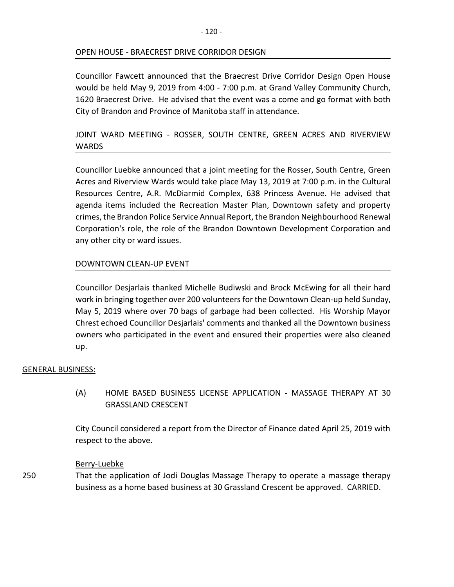## OPEN HOUSE - BRAECREST DRIVE CORRIDOR DESIGN

Councillor Fawcett announced that the Braecrest Drive Corridor Design Open House would be held May 9, 2019 from 4:00 - 7:00 p.m. at Grand Valley Community Church, 1620 Braecrest Drive. He advised that the event was a come and go format with both City of Brandon and Province of Manitoba staff in attendance.

# JOINT WARD MEETING - ROSSER, SOUTH CENTRE, GREEN ACRES AND RIVERVIEW WARDS

Councillor Luebke announced that a joint meeting for the Rosser, South Centre, Green Acres and Riverview Wards would take place May 13, 2019 at 7:00 p.m. in the Cultural Resources Centre, A.R. McDiarmid Complex, 638 Princess Avenue. He advised that agenda items included the Recreation Master Plan, Downtown safety and property crimes, the Brandon Police Service Annual Report, the Brandon Neighbourhood Renewal Corporation's role, the role of the Brandon Downtown Development Corporation and any other city or ward issues.

## DOWNTOWN CLEAN-UP EVENT

Councillor Desjarlais thanked Michelle Budiwski and Brock McEwing for all their hard work in bringing together over 200 volunteers for the Downtown Clean-up held Sunday, May 5, 2019 where over 70 bags of garbage had been collected. His Worship Mayor Chrest echoed Councillor Desjarlais' comments and thanked all the Downtown business owners who participated in the event and ensured their properties were also cleaned up.

#### GENERAL BUSINESS:

(A) HOME BASED BUSINESS LICENSE APPLICATION - MASSAGE THERAPY AT 30 GRASSLAND CRESCENT

City Council considered a report from the Director of Finance dated April 25, 2019 with respect to the above.

#### Berry-Luebke

250 That the application of Jodi Douglas Massage Therapy to operate a massage therapy business as a home based business at 30 Grassland Crescent be approved. CARRIED.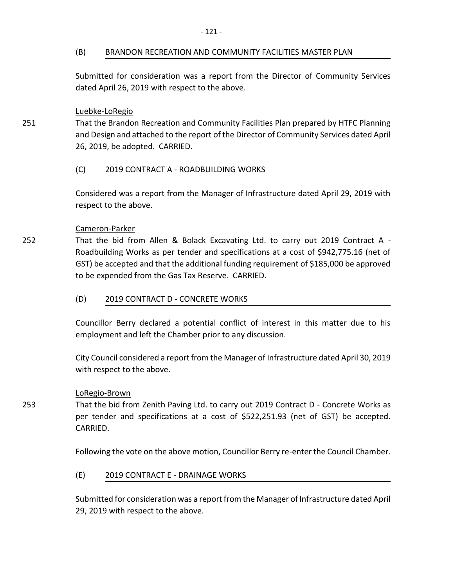#### (B) BRANDON RECREATION AND COMMUNITY FACILITIES MASTER PLAN

Submitted for consideration was a report from the Director of Community Services dated April 26, 2019 with respect to the above.

#### Luebke-LoRegio

251

252

253

That the Brandon Recreation and Community Facilities Plan prepared by HTFC Planning and Design and attached to the report of the Director of Community Services dated April 26, 2019, be adopted. CARRIED.

#### (C) 2019 CONTRACT A - ROADBUILDING WORKS

Considered was a report from the Manager of Infrastructure dated April 29, 2019 with respect to the above.

#### Cameron-Parker

That the bid from Allen & Bolack Excavating Ltd. to carry out 2019 Contract A - Roadbuilding Works as per tender and specifications at a cost of \$942,775.16 (net of GST) be accepted and that the additional funding requirement of \$185,000 be approved to be expended from the Gas Tax Reserve. CARRIED.

(D) 2019 CONTRACT D - CONCRETE WORKS

Councillor Berry declared a potential conflict of interest in this matter due to his employment and left the Chamber prior to any discussion.

City Council considered a report from the Manager of Infrastructure dated April 30, 2019 with respect to the above.

#### LoRegio-Brown

That the bid from Zenith Paving Ltd. to carry out 2019 Contract D - Concrete Works as per tender and specifications at a cost of \$522,251.93 (net of GST) be accepted. CARRIED.

Following the vote on the above motion, Councillor Berry re-enter the Council Chamber.

## (E) 2019 CONTRACT E - DRAINAGE WORKS

Submitted for consideration was a report from the Manager of Infrastructure dated April 29, 2019 with respect to the above.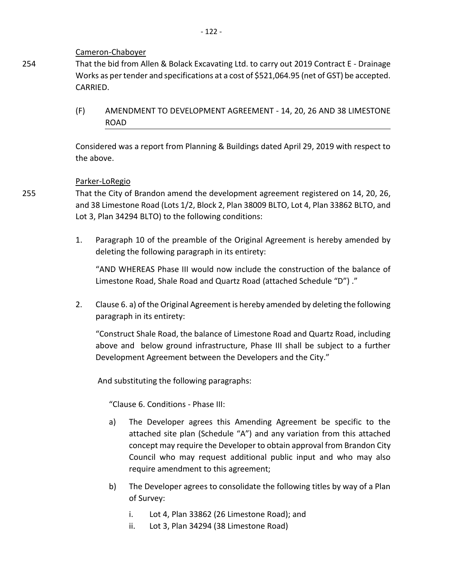#### Cameron-Chaboyer

That the bid from Allen & Bolack Excavating Ltd. to carry out 2019 Contract E - Drainage Works as per tender and specifications at a cost of \$521,064.95 (net of GST) be accepted. CARRIED.

(F) AMENDMENT TO DEVELOPMENT AGREEMENT - 14, 20, 26 AND 38 LIMESTONE ROAD

Considered was a report from Planning & Buildings dated April 29, 2019 with respect to the above.

## Parker-LoRegio

That the City of Brandon amend the development agreement registered on 14, 20, 26, and 38 Limestone Road (Lots 1/2, Block 2, Plan 38009 BLTO, Lot 4, Plan 33862 BLTO, and Lot 3, Plan 34294 BLTO) to the following conditions:

1. Paragraph 10 of the preamble of the Original Agreement is hereby amended by deleting the following paragraph in its entirety:

"AND WHEREAS Phase III would now include the construction of the balance of Limestone Road, Shale Road and Quartz Road (attached Schedule "D") ."

2. Clause 6. a) of the Original Agreement is hereby amended by deleting the following paragraph in its entirety:

"Construct Shale Road, the balance of Limestone Road and Quartz Road, including above and below ground infrastructure, Phase III shall be subject to a further Development Agreement between the Developers and the City."

And substituting the following paragraphs:

"Clause 6. Conditions - Phase III:

- a) The Developer agrees this Amending Agreement be specific to the attached site plan (Schedule "A") and any variation from this attached concept may require the Developer to obtain approval from Brandon City Council who may request additional public input and who may also require amendment to this agreement;
- b) The Developer agrees to consolidate the following titles by way of a Plan of Survey:
	- i. Lot 4, Plan 33862 (26 Limestone Road); and
	- ii. Lot 3, Plan 34294 (38 Limestone Road)

255

254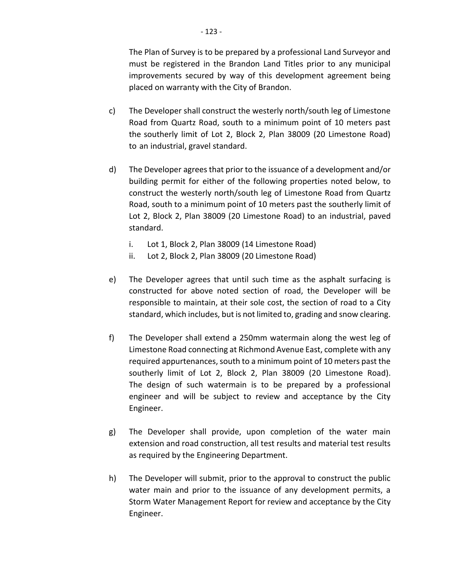The Plan of Survey is to be prepared by a professional Land Surveyor and must be registered in the Brandon Land Titles prior to any municipal improvements secured by way of this development agreement being placed on warranty with the City of Brandon.

- c) The Developer shall construct the westerly north/south leg of Limestone Road from Quartz Road, south to a minimum point of 10 meters past the southerly limit of Lot 2, Block 2, Plan 38009 (20 Limestone Road) to an industrial, gravel standard.
- d) The Developer agrees that prior to the issuance of a development and/or building permit for either of the following properties noted below, to construct the westerly north/south leg of Limestone Road from Quartz Road, south to a minimum point of 10 meters past the southerly limit of Lot 2, Block 2, Plan 38009 (20 Limestone Road) to an industrial, paved standard.
	- i. Lot 1, Block 2, Plan 38009 (14 Limestone Road)
	- ii. Lot 2, Block 2, Plan 38009 (20 Limestone Road)
- e) The Developer agrees that until such time as the asphalt surfacing is constructed for above noted section of road, the Developer will be responsible to maintain, at their sole cost, the section of road to a City standard, which includes, but is not limited to, grading and snow clearing.
- f) The Developer shall extend a 250mm watermain along the west leg of Limestone Road connecting at Richmond Avenue East, complete with any required appurtenances, south to a minimum point of 10 meters past the southerly limit of Lot 2, Block 2, Plan 38009 (20 Limestone Road). The design of such watermain is to be prepared by a professional engineer and will be subject to review and acceptance by the City Engineer.
- g) The Developer shall provide, upon completion of the water main extension and road construction, all test results and material test results as required by the Engineering Department.
- h) The Developer will submit, prior to the approval to construct the public water main and prior to the issuance of any development permits, a Storm Water Management Report for review and acceptance by the City Engineer.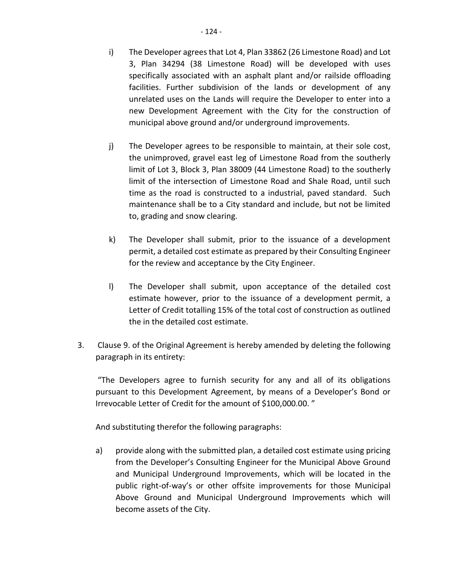municipal above ground and/or underground improvements.

- j) The Developer agrees to be responsible to maintain, at their sole cost, the unimproved, gravel east leg of Limestone Road from the southerly limit of Lot 3, Block 3, Plan 38009 (44 Limestone Road) to the southerly limit of the intersection of Limestone Road and Shale Road, until such time as the road is constructed to a industrial, paved standard. Such maintenance shall be to a City standard and include, but not be limited to, grading and snow clearing.
- k) The Developer shall submit, prior to the issuance of a development permit, a detailed cost estimate as prepared by their Consulting Engineer for the review and acceptance by the City Engineer.
- l) The Developer shall submit, upon acceptance of the detailed cost estimate however, prior to the issuance of a development permit, a Letter of Credit totalling 15% of the total cost of construction as outlined the in the detailed cost estimate.
- 3. Clause 9. of the Original Agreement is hereby amended by deleting the following paragraph in its entirety:

"The Developers agree to furnish security for any and all of its obligations pursuant to this Development Agreement, by means of a Developer's Bond or Irrevocable Letter of Credit for the amount of \$100,000.00. "

And substituting therefor the following paragraphs:

a) provide along with the submitted plan, a detailed cost estimate using pricing from the Developer's Consulting Engineer for the Municipal Above Ground and Municipal Underground Improvements, which will be located in the public right-of-way's or other offsite improvements for those Municipal Above Ground and Municipal Underground Improvements which will become assets of the City.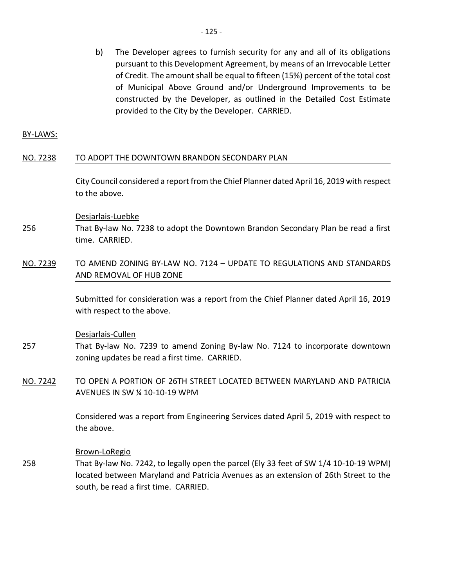b) The Developer agrees to furnish security for any and all of its obligations pursuant to this Development Agreement, by means of an Irrevocable Letter of Credit. The amount shall be equal to fifteen (15%) percent of the total cost of Municipal Above Ground and/or Underground Improvements to be constructed by the Developer, as outlined in the Detailed Cost Estimate provided to the City by the Developer. CARRIED.

BY-LAWS:

#### NO. 7238 TO ADOPT THE DOWNTOWN BRANDON SECONDARY PLAN

City Council considered a report from the Chief Planner dated April 16, 2019 with respect to the above.

Desjarlais-Luebke

- 256 That By-law No. 7238 to adopt the Downtown Brandon Secondary Plan be read a first time. CARRIED.
- NO. 7239 TO AMEND ZONING BY-LAW NO. 7124 UPDATE TO REGULATIONS AND STANDARDS AND REMOVAL OF HUB ZONE

Submitted for consideration was a report from the Chief Planner dated April 16, 2019 with respect to the above.

#### Desjarlais-Cullen

- 257 That By-law No. 7239 to amend Zoning By-law No. 7124 to incorporate downtown zoning updates be read a first time. CARRIED.
- NO. 7242 TO OPEN A PORTION OF 26TH STREET LOCATED BETWEEN MARYLAND AND PATRICIA AVENUES IN SW ¼ 10-10-19 WPM

Considered was a report from Engineering Services dated April 5, 2019 with respect to the above.

Brown-LoRegio

258 That By-law No. 7242, to legally open the parcel (Ely 33 feet of SW 1/4 10-10-19 WPM) located between Maryland and Patricia Avenues as an extension of 26th Street to the south, be read a first time. CARRIED.